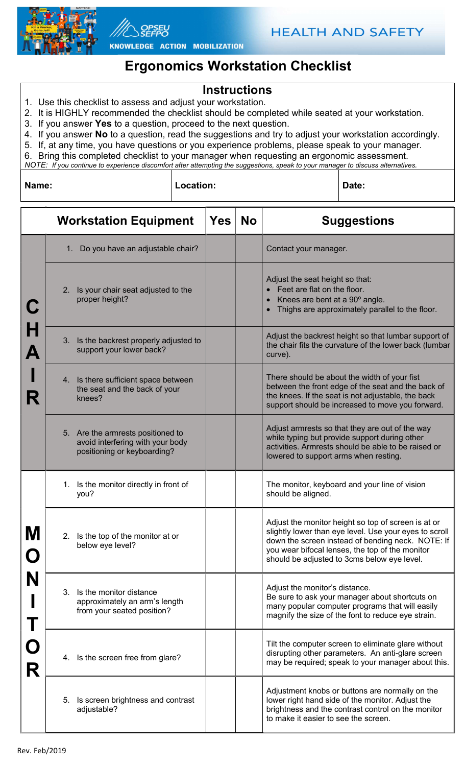



KNOWLEDGE ACTION MOBILIZATION

## Ergonomics Workstation Checklist

## Instructions

- 1. Use this checklist to assess and adjust your workstation.
- 2. It is HIGHLY recommended the checklist should be completed while seated at your workstation.
- 3. If you answer Yes to a question, proceed to the next question.
- 4. If you answer No to a question, read the suggestions and try to adjust your workstation accordingly.
- 5. If, at any time, you have questions or you experience problems, please speak to your manager.
- 6. Bring this completed checklist to your manager when requesting an ergonomic assessment.

Name: Communication: Communication: Date: Date: Date: Date: Date: Date: Date: Date: Date: Date: Date: Date: D

NOTE: If you continue to experience discomfort after attempting the suggestions, speak to your manager to discuss alternatives.

Workstation Equipment  $|Yes|No|$  Suggestions C H A I R 1. Do you have an adjustable chair?  $\vert$   $\vert$   $\vert$   $\vert$  Contact your manager. 2. Is your chair seat adjusted to the proper height? Adjust the seat height so that: Feet are flat on the floor. Knees are bent at a 90º angle. Thighs are approximately parallel to the floor. 3. Is the backrest properly adjusted to support your lower back? Adjust the backrest height so that lumbar support of the chair fits the curvature of the lower back (lumbar curve). 4. Is there sufficient space between the seat and the back of your knees? There should be about the width of your fist between the front edge of the seat and the back of the knees. If the seat is not adjustable, the back support should be increased to move you forward. 5. Are the armrests positioned to avoid interfering with your body positioning or keyboarding? Adjust armrests so that they are out of the way while typing but provide support during other activities. Armrests should be able to be raised or lowered to support arms when resting. M O N I T O R 1. Is the monitor directly in front of you? The monitor, keyboard and your line of vision should be aligned. 2. Is the top of the monitor at or below eye level? Adjust the monitor height so top of screen is at or slightly lower than eye level. Use your eyes to scroll down the screen instead of bending neck. NOTE: If you wear bifocal lenses, the top of the monitor should be adjusted to 3cms below eye level. 3. Is the monitor distance approximately an arm's length from your seated position? Adjust the monitor's distance. Be sure to ask your manager about shortcuts on many popular computer programs that will easily magnify the size of the font to reduce eye strain. 4. Is the screen free from glare? Tilt the computer screen to eliminate glare without disrupting other parameters. An anti-glare screen may be required; speak to your manager about this. 5. Is screen brightness and contrast adjustable? Adjustment knobs or buttons are normally on the lower right hand side of the monitor. Adjust the brightness and the contrast control on the monitor to make it easier to see the screen.